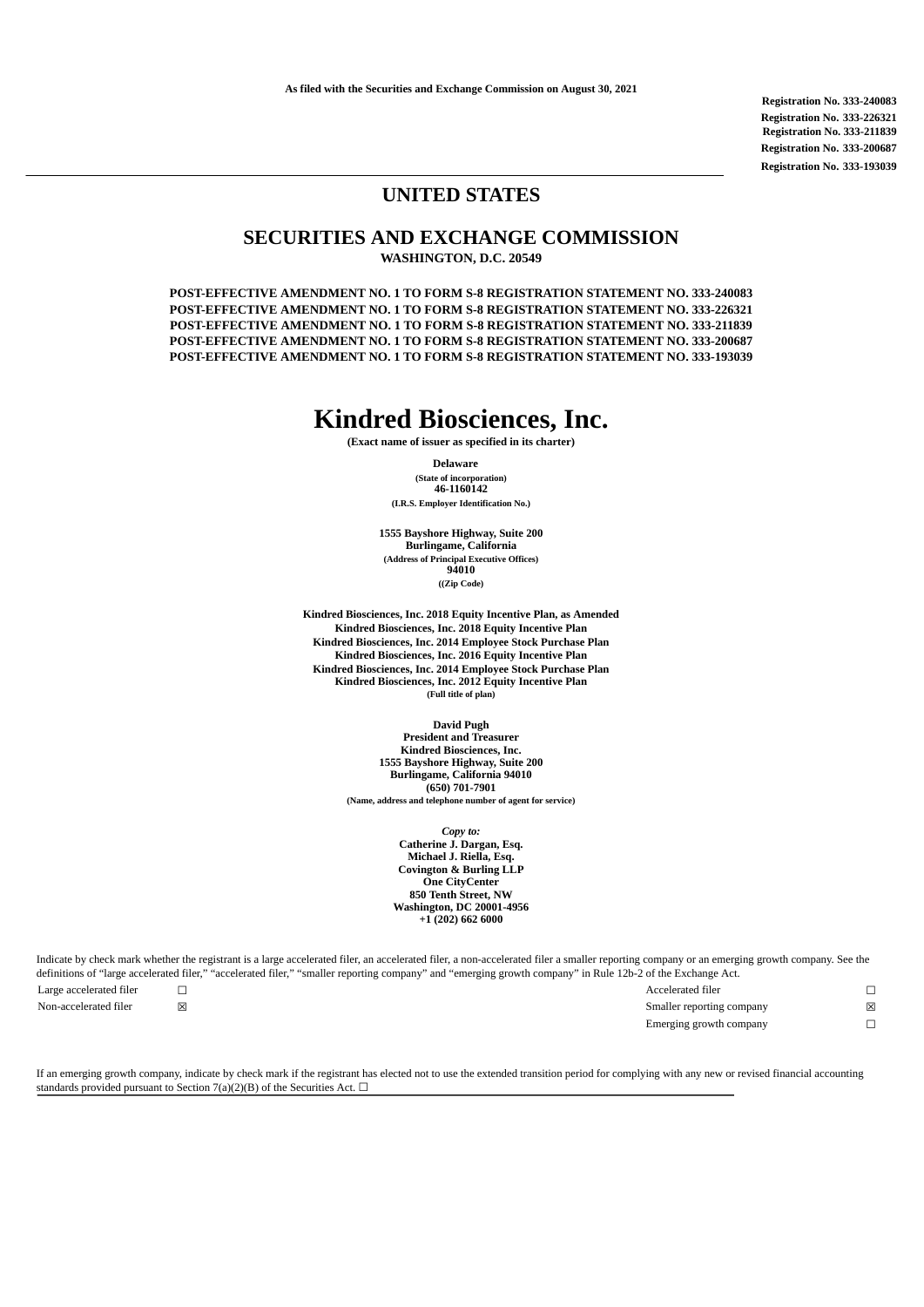**Registration No. 333-240083 Registration No. 333-226321 Registration No. 333-211839 Registration No. 333-200687 Registration No. 333-193039**

### **UNITED STATES**

## **SECURITIES AND EXCHANGE COMMISSION**

**WASHINGTON, D.C. 20549**

**POST-EFFECTIVE AMENDMENT NO. 1 TO FORM S-8 REGISTRATION STATEMENT NO. 333-240083 POST-EFFECTIVE AMENDMENT NO. 1 TO FORM S-8 REGISTRATION STATEMENT NO. 333-226321 POST-EFFECTIVE AMENDMENT NO. 1 TO FORM S-8 REGISTRATION STATEMENT NO. 333-211839 POST-EFFECTIVE AMENDMENT NO. 1 TO FORM S-8 REGISTRATION STATEMENT NO. 333-200687 POST-EFFECTIVE AMENDMENT NO. 1 TO FORM S-8 REGISTRATION STATEMENT NO. 333-193039**

# **Kindred Biosciences, Inc.**

**(Exact name of issuer as specified in its charter)**

## **Delaware**

**(State of incorporation) 46-1160142 (I.R.S. Employer Identification No.)**

**1555 Bayshore Highway, Suite 200 Burlingame, California (Address of Principal Executive Offices) 94010 ((Zip Code)**

**Kindred Biosciences, Inc. 2018 Equity Incentive Plan, as Amended Kindred Biosciences, Inc. 2018 Equity Incentive Plan Kindred Biosciences, Inc. 2014 Employee Stock Purchase Plan Kindred Biosciences, Inc. 2016 Equity Incentive Plan Kindred Biosciences, Inc. 2014 Employee Stock Purchase Plan Kindred Biosciences, Inc. 2012 Equity Incentive Plan (Full title of plan)**

> **David Pugh President and Treasurer Kindred Biosciences, Inc. 1555 Bayshore Highway, Suite 200 Burlingame, California 94010 (650) 701-7901 (Name, address and telephone number of agent for service)**

> > *Copy to:* **Catherine J. Dargan, Esq. Michael J. Riella, Esq. Covington & Burling LLP One CityCenter 850 Tenth Street, NW Washington, DC 20001-4956 +1 (202) 662 6000**

Indicate by check mark whether the registrant is a large accelerated filer, an accelerated filer, a non-accelerated filer a smaller reporting company or an emerging growth company. See the definitions of "large accelerated filer," "accelerated filer," "smaller reporting company" and "emerging growth company" in Rule 12b-2 of the Exchange Act. Large accelerated filer ☐ Accelerated filer ☐

Non-accelerated filer **⊠** ⊠ and some state of the state of the state of the Smaller reporting company **⊠** Emerging growth company **□** 

If an emerging growth company, indicate by check mark if the registrant has elected not to use the extended transition period for complying with any new or revised financial accounting standards provided pursuant to Section 7(a)(2)(B) of the Securities Act.  $\Box$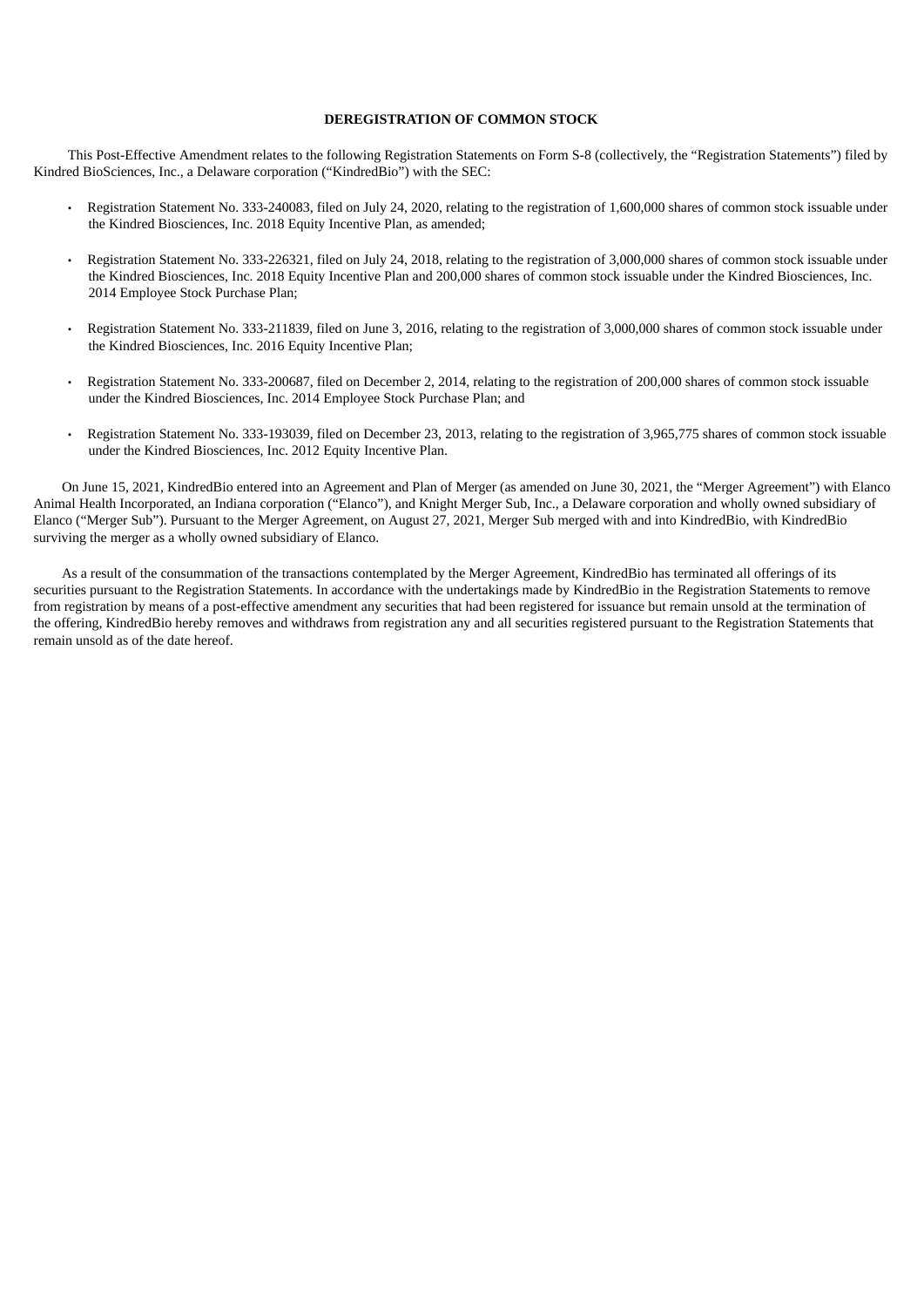#### **DEREGISTRATION OF COMMON STOCK**

This Post-Effective Amendment relates to the following Registration Statements on Form S-8 (collectively, the "Registration Statements") filed by Kindred BioSciences, Inc., a Delaware corporation ("KindredBio") with the SEC:

- Registration Statement No. 333-240083, filed on July 24, 2020, relating to the registration of 1,600,000 shares of common stock issuable under the Kindred Biosciences, Inc. 2018 Equity Incentive Plan, as amended;
- Registration Statement No. 333-226321, filed on July 24, 2018, relating to the registration of 3,000,000 shares of common stock issuable under the Kindred Biosciences, Inc. 2018 Equity Incentive Plan and 200,000 shares of common stock issuable under the Kindred Biosciences, Inc. 2014 Employee Stock Purchase Plan;
- Registration Statement No. 333-211839, filed on June 3, 2016, relating to the registration of 3,000,000 shares of common stock issuable under the Kindred Biosciences, Inc. 2016 Equity Incentive Plan;
- Registration Statement No. 333-200687, filed on December 2, 2014, relating to the registration of 200,000 shares of common stock issuable under the Kindred Biosciences, Inc. 2014 Employee Stock Purchase Plan; and
- Registration Statement No. 333-193039, filed on December 23, 2013, relating to the registration of 3,965,775 shares of common stock issuable under the Kindred Biosciences, Inc. 2012 Equity Incentive Plan.

On June 15, 2021, KindredBio entered into an Agreement and Plan of Merger (as amended on June 30, 2021, the "Merger Agreement") with Elanco Animal Health Incorporated, an Indiana corporation ("Elanco"), and Knight Merger Sub, Inc., a Delaware corporation and wholly owned subsidiary of Elanco ("Merger Sub"). Pursuant to the Merger Agreement, on August 27, 2021, Merger Sub merged with and into KindredBio, with KindredBio surviving the merger as a wholly owned subsidiary of Elanco.

As a result of the consummation of the transactions contemplated by the Merger Agreement, KindredBio has terminated all offerings of its securities pursuant to the Registration Statements. In accordance with the undertakings made by KindredBio in the Registration Statements to remove from registration by means of a post-effective amendment any securities that had been registered for issuance but remain unsold at the termination of the offering, KindredBio hereby removes and withdraws from registration any and all securities registered pursuant to the Registration Statements that remain unsold as of the date hereof.